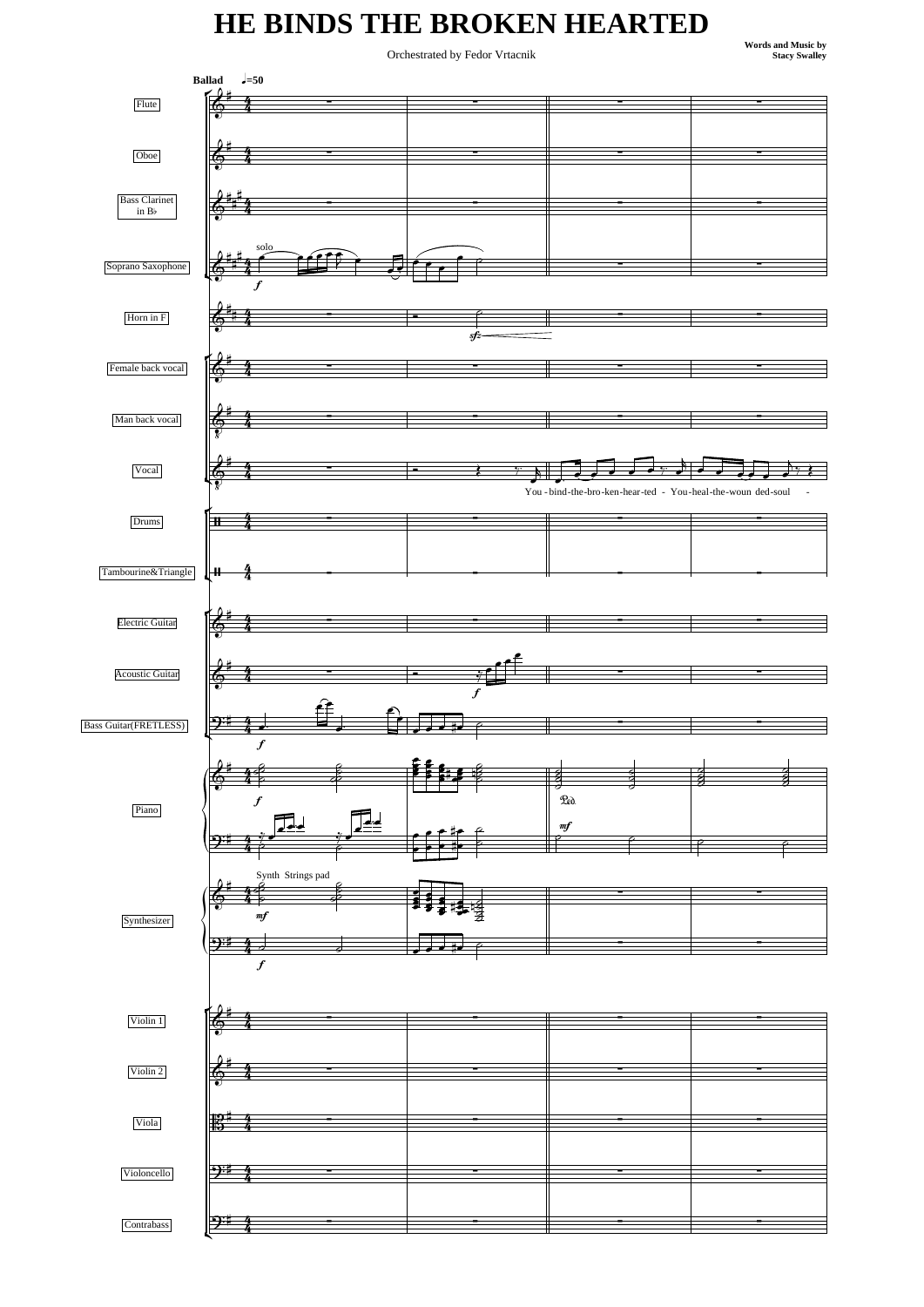## **HE BINDS THE BROKEN HEARTED**

**Orchestrated by Fedor Vrtacnik** 

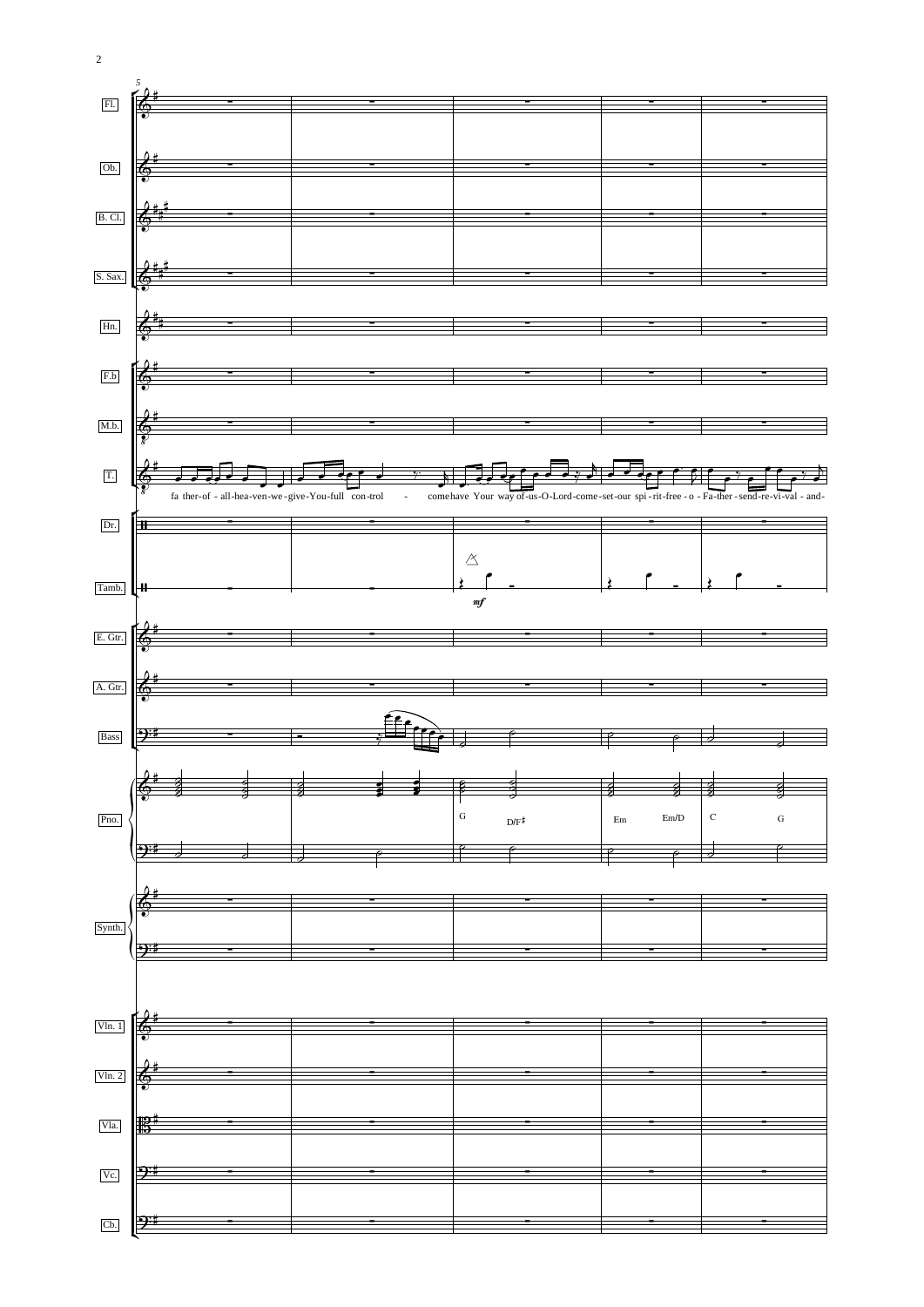

 $\overline{c}$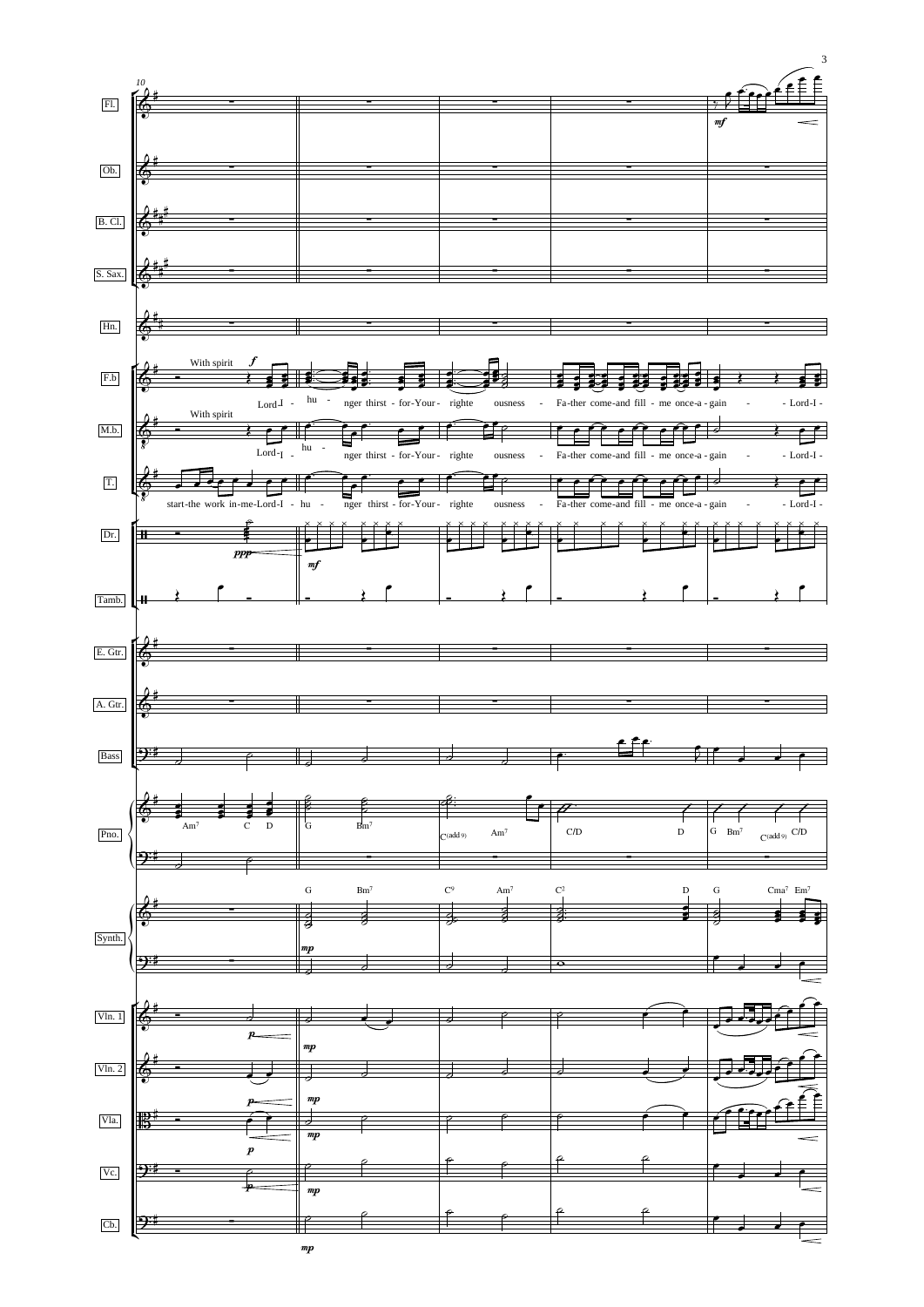

3

mp